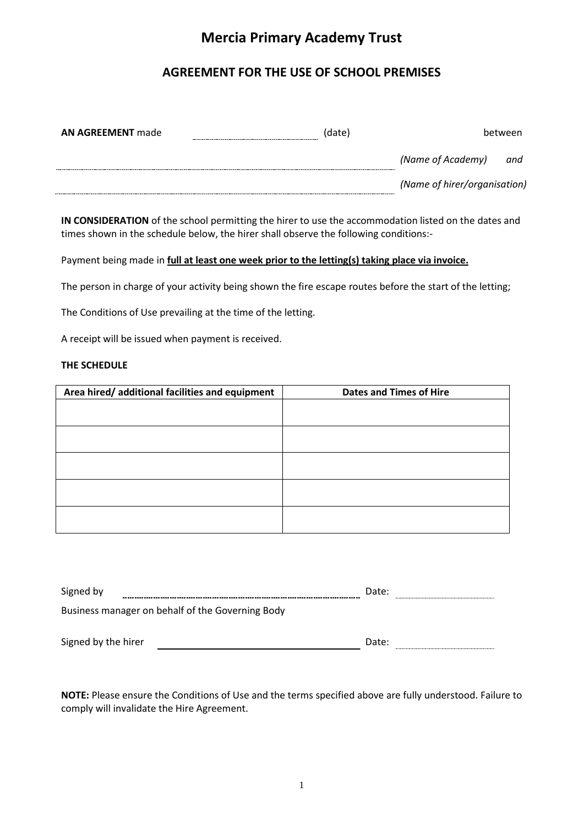# **Mercia Primary Academy Trust**

## **AGREEMENT FOR THE USE OF SCHOOL PREMISES**

| <b>AN AGREEMENT made</b> | (date) |                              | between |
|--------------------------|--------|------------------------------|---------|
|                          |        | (Name of Academy)            | and     |
|                          |        | (Name of hirer/organisation) |         |

**IN CONSIDERATION** of the school permitting the hirer to use the accommodation listed on the dates and times shown in the schedule below, the hirer shall observe the following conditions:-

Payment being made in **full at least one week prior to the letting(s) taking place via invoice.**

The person in charge of your activity being shown the fire escape routes before the start of the letting;

The Conditions of Use prevailing at the time of the letting.

A receipt will be issued when payment is received.

#### **THE SCHEDULE**

| Area hired/ additional facilities and equipment | <b>Dates and Times of Hire</b> |
|-------------------------------------------------|--------------------------------|
|                                                 |                                |
|                                                 |                                |
|                                                 |                                |
|                                                 |                                |
|                                                 |                                |
|                                                 |                                |
|                                                 |                                |
|                                                 |                                |
|                                                 |                                |
|                                                 |                                |

| Signed by                                        | Date: |  |
|--------------------------------------------------|-------|--|
| Business manager on behalf of the Governing Body |       |  |
| Signed by the hirer                              | Date: |  |

**NOTE:** Please ensure the Conditions of Use and the terms specified above are fully understood. Failure to comply will invalidate the Hire Agreement.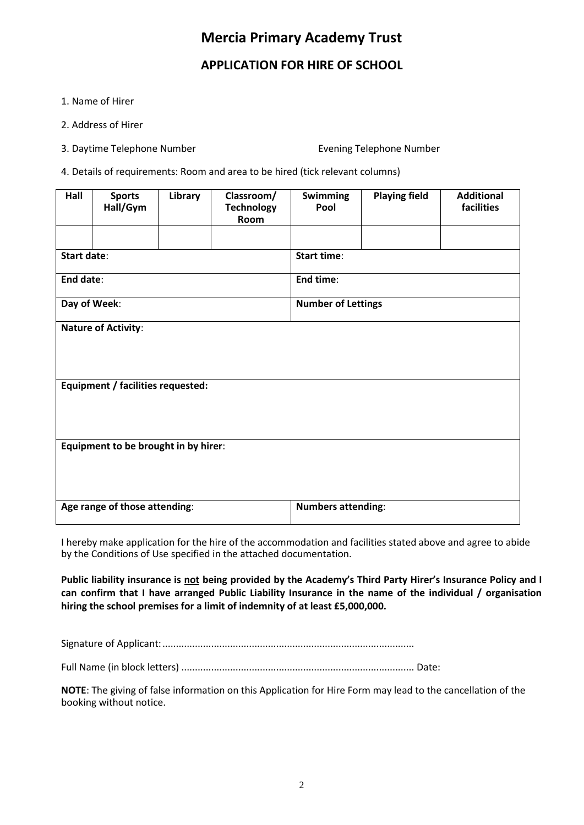# **Mercia Primary Academy Trust**

## **APPLICATION FOR HIRE OF SCHOOL**

- 1. Name of Hirer
- 2. Address of Hirer
- 3. Daytime Telephone Number Evening Telephone Number
- 4. Details of requirements: Room and area to be hired (tick relevant columns)

| Hall                                      | <b>Sports</b><br>Hall/Gym                | Library   | Classroom/<br><b>Technology</b><br>Room | <b>Swimming</b><br>Pool   | <b>Playing field</b> | <b>Additional</b><br>facilities |
|-------------------------------------------|------------------------------------------|-----------|-----------------------------------------|---------------------------|----------------------|---------------------------------|
|                                           |                                          |           |                                         |                           |                      |                                 |
| <b>Start date:</b>                        |                                          |           |                                         | <b>Start time:</b>        |                      |                                 |
| End date:                                 |                                          | End time: |                                         |                           |                      |                                 |
| Day of Week:<br><b>Number of Lettings</b> |                                          |           |                                         |                           |                      |                                 |
| <b>Nature of Activity:</b>                |                                          |           |                                         |                           |                      |                                 |
|                                           | <b>Equipment / facilities requested:</b> |           |                                         |                           |                      |                                 |
| Equipment to be brought in by hirer:      |                                          |           |                                         |                           |                      |                                 |
|                                           | Age range of those attending:            |           |                                         | <b>Numbers attending:</b> |                      |                                 |

I hereby make application for the hire of the accommodation and facilities stated above and agree to abide by the Conditions of Use specified in the attached documentation.

**Public liability insurance is not being provided by the Academy's Third Party Hirer's Insurance Policy and I can confirm that I have arranged Public Liability Insurance in the name of the individual / organisation hiring the school premises for a limit of indemnity of at least £5,000,000.** 

Signature of Applicant:.............................................................................................

Full Name (in block letters) ...................................................................................... Date:

**NOTE**: The giving of false information on this Application for Hire Form may lead to the cancellation of the booking without notice.